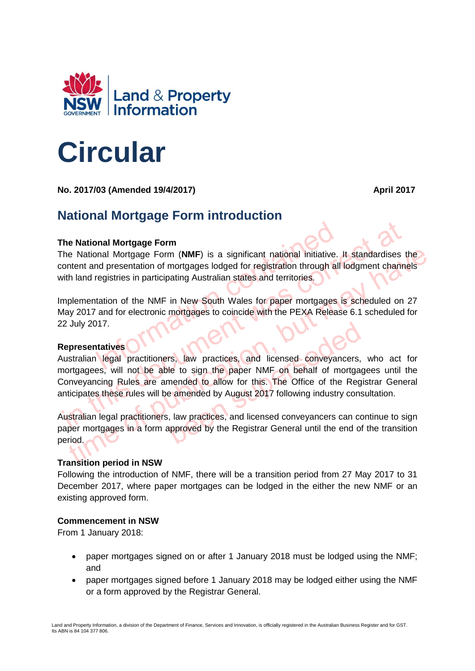

# **Circular**

**No. 2017/03 (Amended 19/4/2017)** April 2017

## **National Mortgage Form introduction**

### **The National Mortgage Form**

Information Mortgage Form<br>
Information of mortgages lodged for registration through all<br>
Integristries in participating Australian states and territories.<br>
Intation of the NMF in New South Wales for paper mortgages is<br>
and The National Mortgage Form (**NMF**) is a significant national initiative. It standardises the content and presentation of mortgages lodged for registration through all lodgment channels with land registries in participating Australian states and territories.

Implementation of the NMF in New South Wales for paper mortgages is scheduled on 27 May 2017 and for electronic mortgages to coincide with the PEXA Release 6.1 scheduled for 22 July 2017.

#### **Representatives**

The National Mortgage Form<br>
The National Mortgage Form (NMF) is a significant national initiative. It standardises the<br>
International presentation of mortgages lodged for registration through all lodgment channe<br>
Internati is National Mortgage Form (NMF) is a significant national initiative. It standardises the Intent and presentation of mortgages lodged for registration through all lodgment channels<br>th land registries in participating Austr rs, law practices, and licensed conveyancers,<br>le to sign the paper NMF on behalf of mortgag<br>mended to allow for this. The Office of the Regi<br>e amended by August 2017 following industry cons<br>, law practices, and licensed co Australian legal practitioners, law practices, and licensed conveyancers, who act for mortgagees, will not be able to sign the paper NMF on behalf of mortgagees until the Conveyancing Rules are amended to allow for this. The Office of the Registrar General anticipates these rules will be amended by August 2017 following industry consultation.

Australian legal practitioners, law practices, and licensed conveyancers can continue to sign paper mortgages in a form approved by the Registrar General until the end of the transition period.

#### **Transition period in NSW**

Following the introduction of NMF, there will be a transition period from 27 May 2017 to 31 December 2017, where paper mortgages can be lodged in the either the new NMF or an existing approved form.

#### **Commencement in NSW**

From 1 January 2018:

- paper mortgages signed on or after 1 January 2018 must be lodged using the NMF; and
- paper mortgages signed before 1 January 2018 may be lodged either using the NMF or a form approved by the Registrar General.